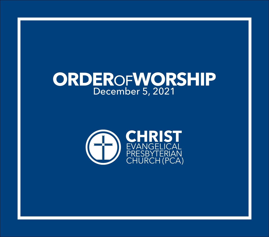# **ORDER**OF**WORSHIP** December 5, 2021

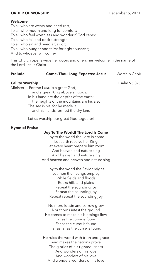# **ORDER OF WORSHIP** December 5, 2021

# **Welcome**

To all who are weary and need rest; To all who mourn and long for comfort; To all who feel worthless and wonder if God cares; To all who fail and desire strength; To all who sin and need a Savior; To all who hunger and thirst for righteousness; And to whoever will come–

This Church opens wide her doors and offers her welcome in the name of the Lord Jesus Christ.

| <b>Prelude</b> | <b>Come, Thou Long Expected Jesus</b> | Worship Choir |
|----------------|---------------------------------------|---------------|
|                |                                       |               |

# **Call to Worship** Psalm 95:3-5

Minister: For the LORD is a great God, and a great King above all gods. In his hand are the depths of the earth; the heights of the mountains are his also. The sea is his, for he made it, and his hands formed the dry land.

Let us worship our great God together!

# **Hymn of Praise**

# **Joy To The World! The Lord Is Come**

Joy to the world the Lord is come Let earth receive her King Let every heart prepare him room And heaven and nature sing And heaven and nature sing And heaven and heaven and nature sing

Joy to the world the Savior reigns Let men their songs employ While fields and floods Rocks hills and plains Repeat the sounding joy Repeat the sounding joy Repeat repeat the sounding joy

No more let sin and sorrow grow Nor thorns infest the ground He comes to make his blessings flow Far as the curse is found Far as the curse is found Far as far as the curse is found

He rules the world with truth and grace And makes the nations prove The glories of his righteousness And wonders of his love And wonders of his love And wonders wonders of his love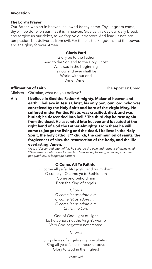# **Invocation**

#### **The Lord's Prayer**

Our Father, who art in heaven, hallowed be thy name. Thy kingdom come, thy will be done, on earth as it is in heaven. Give us this day our daily bread, and forgive us our debts, as we forgive our debtors. And lead us not into temptation, but deliver us from evil. For thine is the kingdom, and the power, and the glory forever. Amen.

### **Gloria Patri**

Glory be to the Father And to the Son and to the Holy Ghost As it was in the beginning Is now and ever shall be World without end Amen Amen

# **Affirmation of Faith** The Apostles' Creed

Minister: Christian, what do you believe?

**All: I believe in God the Father Almighty, Maker of heaven and earth. I believe in Jesus Christ, his only Son, our Lord, who was conceived by the Holy Spirit and born of the virgin Mary. He suffered under Pontius Pilate, was crucified, died, and was buried; he descended into hell.\* The third day he rose again from the dead. He ascended into heaven and is seated at the right hand of God the Father Almighty. From there he will come to judge the living and the dead. I believe in the Holy Spirit, the holy catholic\*\* church, the communion of saints, the forgiveness of sins, the resurrection of the body, and the life everlasting. Amen.**

*\*Jesus "descended into hell" as he suffered the pain and torment of divine wrath. \*\*The term catholic refers to the church universal, knowing no racial, economic, geographical, or language barriers.*

# **O Come, All Ye Faithful**

O come all ye faithful joyful and triumphant O come ye O come ye to Bethlehem Come and behold him Born the King of angels

# *Chorus*

*O come let us adore him O come let us adore him O come let us adore him Christ the Lord*

God of God Light of Light Lo he abhors not the Virgin's womb Very God begotten not created

*Chorus*

Sing choirs of angels sing in exultation Sing all ye citizens of heav'n above Glory to God in the highest

*continued*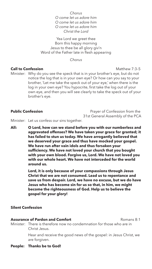*Chorus*

*O come let us adore him O come let us adore him O come let us adore him Christ the Lord*

Yea Lord we greet thee Born this happy morning Jesus to thee be all glory giv'n Word of the Father late in flesh appearing

*Chorus*

# **Call to Confession Matthew 7:3-5**

Minister: Why do you see the speck that is in your brother's eye, but do not notice the log that is in your own eye? Or how can you say to your brother, 'Let me take the speck out of your eye,' when there is the log in your own eye? You hypocrite, first take the log out of your own eye, and then you will see clearly to take the speck out of your brother's eye.

**Public Confession Prayer of Confession from the** 31st General Assembly of the PCA

Minister: Let us confess our sins together.

**All: O Lord, how can we stand before you with our numberless and aggravated offenses? We have taken your grace for granted; it has failed to stun us today. We have arrogantly believed that we deserved your grace and thus have mocked your gospel. We have run after vain idols and thus forsaken your sufficiency. We have not loved your church that you bought with your own blood. Forgive us, Lord. We have not loved you with our whole heart. We have not interceded for the world around us.**

> **Lord, it is only because of your compassions through Jesus Christ that we are not consumed. Lead us to repentance and save us from despair. Lord, we have no excuse, but we do have Jesus who has become sin for us so that, in him, we might become the righteousness of God. Help us to believe the gospel for your glory!**

# **Silent Confession**

# **Assurance of Pardon and Comfort Example 20 Assurance of Pardon and Comfort**

Minister: There is therefore now no condemnation for those who are in Christ Jesus.

> Hear and receive the good news of the gospel: in Jesus Christ, we are forgiven.

**People: Thanks be to God!**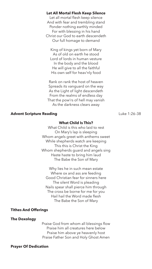# **Let All Mortal Flesh Keep Silence**

Let all mortal flesh keep silence And with fear and trembling stand Ponder nothing earthly minded For with blessing in his hand Christ our God to earth descendeth Our full homage to demand

King of kings yet born of Mary As of old on earth he stood Lord of lords in human vesture In the body and the blood He will give to all the faithful His own self for heav'nly food

Rank on rank the host of heaven Spreads its vanguard on the way As the Light of light descendeth From the realms of endless day That the pow'rs of hell may vanish As the darkness clears away

### **Advent Scripture Reading** Luke 1:26–38

#### **What Child Is This?**

What Child is this who laid to rest On Mary's lap is sleeping Whom angels greet with anthems sweet While shepherds watch are keeping This this is Christ the King Whom shepherds guard and angels sing Haste haste to bring him laud The Babe the Son of Mary

Why lies he in such mean estate Where ox and ass are feeding Good Christian fear for sinners here The silent Word is pleading Nails spear shall pierce him through The cross be borne for me for you Hail hail the Word made flesh The Babe the Son of Mary

# **Tithes And Offerings**

#### **The Doxology**

Praise God from whom all blessings flow Praise him all creatures here below Praise him above ye heavenly host Praise Father Son and Holy Ghost Amen

#### **Prayer Of Dedication**